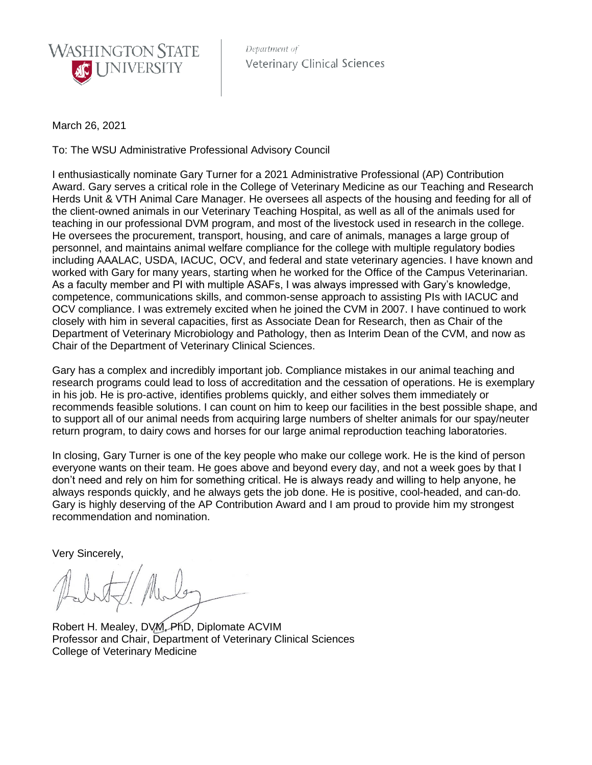

Department of **Veterinary Clinical Sciences** 

March 26, 2021

To: The WSU Administrative Professional Advisory Council

I enthusiastically nominate Gary Turner for a 2021 Administrative Professional (AP) Contribution Award. Gary serves a critical role in the College of Veterinary Medicine as our Teaching and Research Herds Unit & VTH Animal Care Manager. He oversees all aspects of the housing and feeding for all of the client-owned animals in our Veterinary Teaching Hospital, as well as all of the animals used for teaching in our professional DVM program, and most of the livestock used in research in the college. He oversees the procurement, transport, housing, and care of animals, manages a large group of personnel, and maintains animal welfare compliance for the college with multiple regulatory bodies including AAALAC, USDA, IACUC, OCV, and federal and state veterinary agencies. I have known and worked with Gary for many years, starting when he worked for the Office of the Campus Veterinarian. As a faculty member and PI with multiple ASAFs, I was always impressed with Gary's knowledge, competence, communications skills, and common-sense approach to assisting PIs with IACUC and OCV compliance. I was extremely excited when he joined the CVM in 2007. I have continued to work closely with him in several capacities, first as Associate Dean for Research, then as Chair of the Department of Veterinary Microbiology and Pathology, then as Interim Dean of the CVM, and now as Chair of the Department of Veterinary Clinical Sciences.

Gary has a complex and incredibly important job. Compliance mistakes in our animal teaching and research programs could lead to loss of accreditation and the cessation of operations. He is exemplary in his job. He is pro-active, identifies problems quickly, and either solves them immediately or recommends feasible solutions. I can count on him to keep our facilities in the best possible shape, and to support all of our animal needs from acquiring large numbers of shelter animals for our spay/neuter return program, to dairy cows and horses for our large animal reproduction teaching laboratories.

In closing, Gary Turner is one of the key people who make our college work. He is the kind of person everyone wants on their team. He goes above and beyond every day, and not a week goes by that I don't need and rely on him for something critical. He is always ready and willing to help anyone, he always responds quickly, and he always gets the job done. He is positive, cool-headed, and can-do. Gary is highly deserving of the AP Contribution Award and I am proud to provide him my strongest recommendation and nomination.

Very Sincerely,

Robert H. Mealey, DVM, PhD, Diplomate ACVIM Professor and Chair, Department of Veterinary Clinical Sciences College of Veterinary Medicine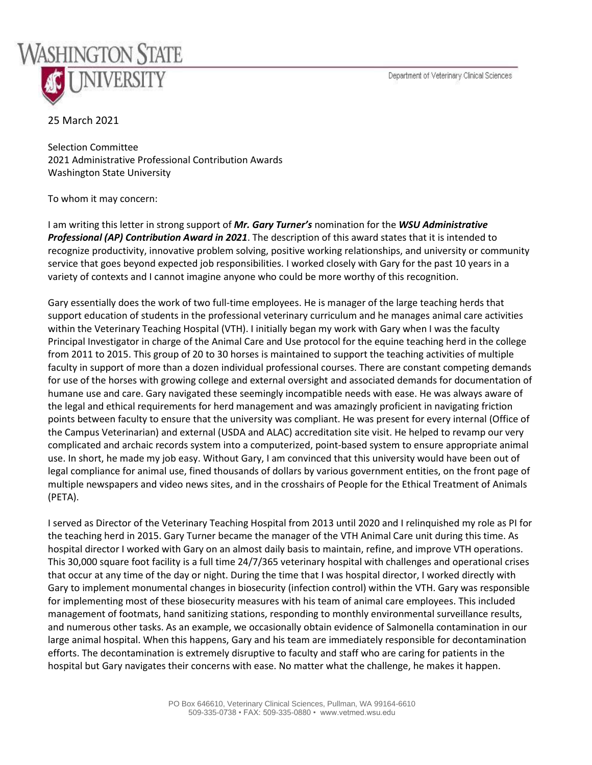Department of Veterinary Clinical Sciences



## 25 March 2021

Selection Committee 2021 Administrative Professional Contribution Awards Washington State University

To whom it may concern:

I am writing this letter in strong support of *Mr. Gary Turner's* nomination for the *WSU Administrative Professional (AP) Contribution Award in 2021*. The description of this award states that it is intended to recognize productivity, innovative problem solving, positive working relationships, and university or community service that goes beyond expected job responsibilities. I worked closely with Gary for the past 10 years in a variety of contexts and I cannot imagine anyone who could be more worthy of this recognition.

Gary essentially does the work of two full-time employees. He is manager of the large teaching herds that support education of students in the professional veterinary curriculum and he manages animal care activities within the Veterinary Teaching Hospital (VTH). I initially began my work with Gary when I was the faculty Principal Investigator in charge of the Animal Care and Use protocol for the equine teaching herd in the college from 2011 to 2015. This group of 20 to 30 horses is maintained to support the teaching activities of multiple faculty in support of more than a dozen individual professional courses. There are constant competing demands for use of the horses with growing college and external oversight and associated demands for documentation of humane use and care. Gary navigated these seemingly incompatible needs with ease. He was always aware of the legal and ethical requirements for herd management and was amazingly proficient in navigating friction points between faculty to ensure that the university was compliant. He was present for every internal (Office of the Campus Veterinarian) and external (USDA and ALAC) accreditation site visit. He helped to revamp our very complicated and archaic records system into a computerized, point-based system to ensure appropriate animal use. In short, he made my job easy. Without Gary, I am convinced that this university would have been out of legal compliance for animal use, fined thousands of dollars by various government entities, on the front page of multiple newspapers and video news sites, and in the crosshairs of People for the Ethical Treatment of Animals (PETA).

I served as Director of the Veterinary Teaching Hospital from 2013 until 2020 and I relinquished my role as PI for the teaching herd in 2015. Gary Turner became the manager of the VTH Animal Care unit during this time. As hospital director I worked with Gary on an almost daily basis to maintain, refine, and improve VTH operations. This 30,000 square foot facility is a full time 24/7/365 veterinary hospital with challenges and operational crises that occur at any time of the day or night. During the time that I was hospital director, I worked directly with Gary to implement monumental changes in biosecurity (infection control) within the VTH. Gary was responsible for implementing most of these biosecurity measures with his team of animal care employees. This included management of footmats, hand sanitizing stations, responding to monthly environmental surveillance results, and numerous other tasks. As an example, we occasionally obtain evidence of Salmonella contamination in our large animal hospital. When this happens, Gary and his team are immediately responsible for decontamination efforts. The decontamination is extremely disruptive to faculty and staff who are caring for patients in the hospital but Gary navigates their concerns with ease. No matter what the challenge, he makes it happen.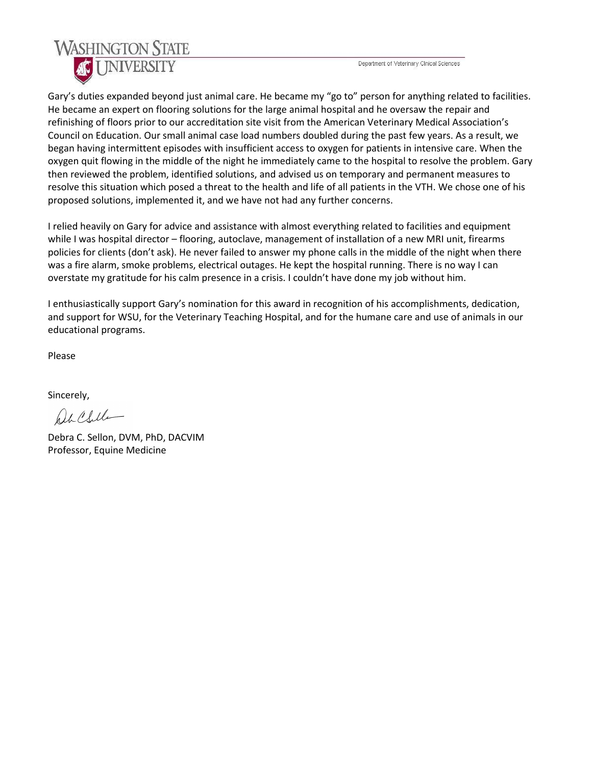Department of Veterinary Clinical Sciences



Gary's duties expanded beyond just animal care. He became my "go to" person for anything related to facilities. He became an expert on flooring solutions for the large animal hospital and he oversaw the repair and refinishing of floors prior to our accreditation site visit from the American Veterinary Medical Association's Council on Education. Our small animal case load numbers doubled during the past few years. As a result, we began having intermittent episodes with insufficient access to oxygen for patients in intensive care. When the oxygen quit flowing in the middle of the night he immediately came to the hospital to resolve the problem. Gary then reviewed the problem, identified solutions, and advised us on temporary and permanent measures to resolve this situation which posed a threat to the health and life of all patients in the VTH. We chose one of his proposed solutions, implemented it, and we have not had any further concerns.

I relied heavily on Gary for advice and assistance with almost everything related to facilities and equipment while I was hospital director – flooring, autoclave, management of installation of a new MRI unit, firearms policies for clients (don't ask). He never failed to answer my phone calls in the middle of the night when there was a fire alarm, smoke problems, electrical outages. He kept the hospital running. There is no way I can overstate my gratitude for his calm presence in a crisis. I couldn't have done my job without him.

I enthusiastically support Gary's nomination for this award in recognition of his accomplishments, dedication, and support for WSU, for the Veterinary Teaching Hospital, and for the humane care and use of animals in our educational programs.

Please

Sincerely,

help (Sulla

Debra C. Sellon, DVM, PhD, DACVIM Professor, Equine Medicine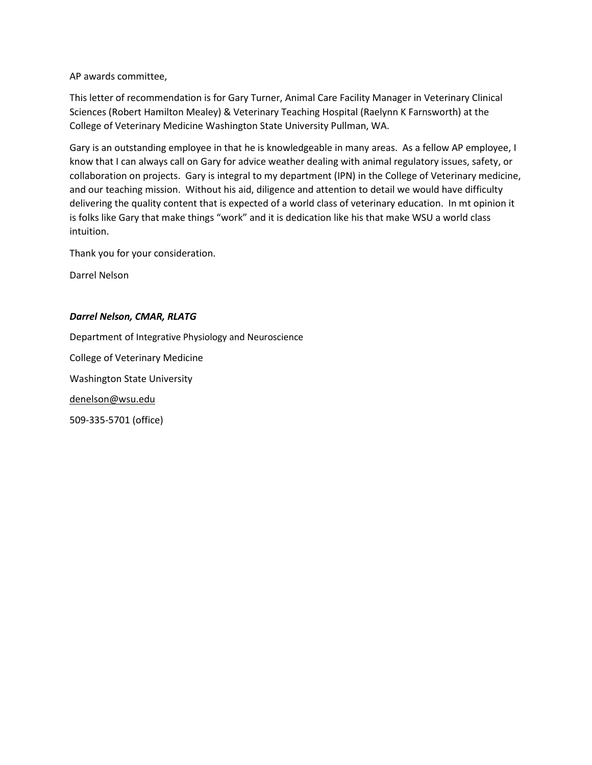AP awards committee,

This letter of recommendation is for Gary Turner, Animal Care Facility Manager in Veterinary Clinical Sciences (Robert Hamilton Mealey) & Veterinary Teaching Hospital (Raelynn K Farnsworth) at the College of Veterinary Medicine Washington State University Pullman, WA.

Gary is an outstanding employee in that he is knowledgeable in many areas. As a fellow AP employee, I know that I can always call on Gary for advice weather dealing with animal regulatory issues, safety, or collaboration on projects. Gary is integral to my department (IPN) in the College of Veterinary medicine, and our teaching mission. Without his aid, diligence and attention to detail we would have difficulty delivering the quality content that is expected of a world class of veterinary education. In mt opinion it is folks like Gary that make things "work" and it is dedication like his that make WSU a world class intuition.

Thank you for your consideration.

Darrel Nelson

## *Darrel Nelson, CMAR, RLATG*

Department of Integrative Physiology and Neuroscience College of Veterinary Medicine

Washington State University

[denelson@wsu.edu](mailto:denelson@wsu.edu)

509-335-5701 (office)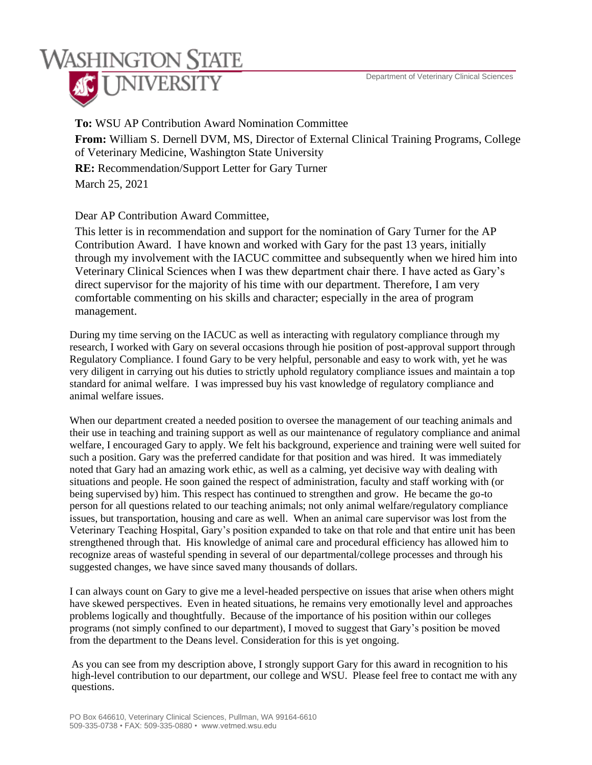## **WASHINGTON STATE UNIVERSITY**

**To:** WSU AP Contribution Award Nomination Committee

**From:** William S. Dernell DVM, MS, Director of External Clinical Training Programs, College of Veterinary Medicine, Washington State University

**RE:** Recommendation/Support Letter for Gary Turner March 25, 2021

Dear AP Contribution Award Committee,

This letter is in recommendation and support for the nomination of Gary Turner for the AP Contribution Award. I have known and worked with Gary for the past 13 years, initially through my involvement with the IACUC committee and subsequently when we hired him into Veterinary Clinical Sciences when I was thew department chair there. I have acted as Gary's direct supervisor for the majority of his time with our department. Therefore, I am very comfortable commenting on his skills and character; especially in the area of program management.

During my time serving on the IACUC as well as interacting with regulatory compliance through my research, I worked with Gary on several occasions through hie position of post-approval support through Regulatory Compliance. I found Gary to be very helpful, personable and easy to work with, yet he was very diligent in carrying out his duties to strictly uphold regulatory compliance issues and maintain a top standard for animal welfare. I was impressed buy his vast knowledge of regulatory compliance and animal welfare issues.

When our department created a needed position to oversee the management of our teaching animals and their use in teaching and training support as well as our maintenance of regulatory compliance and animal welfare, I encouraged Gary to apply. We felt his background, experience and training were well suited for such a position. Gary was the preferred candidate for that position and was hired. It was immediately noted that Gary had an amazing work ethic, as well as a calming, yet decisive way with dealing with situations and people. He soon gained the respect of administration, faculty and staff working with (or being supervised by) him. This respect has continued to strengthen and grow. He became the go-to person for all questions related to our teaching animals; not only animal welfare/regulatory compliance issues, but transportation, housing and care as well. When an animal care supervisor was lost from the Veterinary Teaching Hospital, Gary's position expanded to take on that role and that entire unit has been strengthened through that. His knowledge of animal care and procedural efficiency has allowed him to recognize areas of wasteful spending in several of our departmental/college processes and through his suggested changes, we have since saved many thousands of dollars.

I can always count on Gary to give me a level-headed perspective on issues that arise when others might have skewed perspectives. Even in heated situations, he remains very emotionally level and approaches problems logically and thoughtfully. Because of the importance of his position within our colleges programs (not simply confined to our department), I moved to suggest that Gary's position be moved from the department to the Deans level. Consideration for this is yet ongoing.

As you can see from my description above, I strongly support Gary for this award in recognition to his high-level contribution to our department, our college and WSU. Please feel free to contact me with any questions.